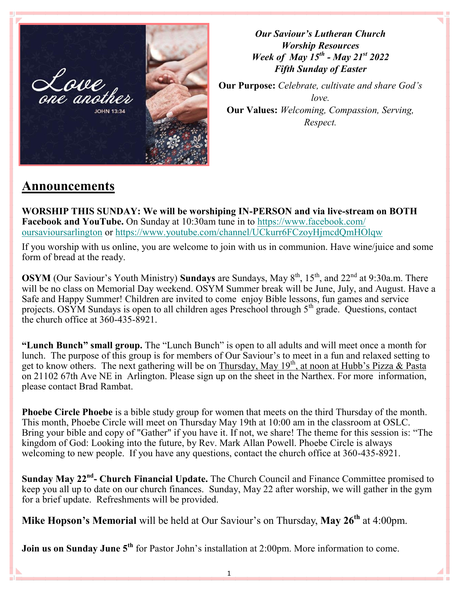

*Our Saviour's Lutheran Church Worship Resources Week of May 15th - May 21st 2022 Fifth Sunday of Easter*

**Our Purpose:** *Celebrate, cultivate and share God's love.* **Our Values:** *Welcoming, Compassion, Serving, Respect.*

# **Announcements**

**WORSHIP THIS SUNDAY: We will be worshiping IN-PERSON and via live-stream on BOTH Facebook and YouTube.** On Sunday at 10:30am tune in to [https://www.facebook.com/](https://www.facebook.com/oursavioursarlington) [oursavioursarlington](https://www.facebook.com/oursavioursarlington) or <https://www.youtube.com/channel/UCkurr6FCzoyHjmcdQmHOlqw>

If you worship with us online, you are welcome to join with us in communion. Have wine/juice and some form of bread at the ready.

**OSYM** (Our Saviour's Youth Ministry) **Sundays** are Sundays, May 8<sup>th</sup>, 15<sup>th</sup>, and 22<sup>nd</sup> at 9:30a.m. There will be no class on Memorial Day weekend. OSYM Summer break will be June, July, and August. Have a Safe and Happy Summer! Children are invited to come enjoy Bible lessons, fun games and service projects. OSYM Sundays is open to all children ages Preschool through  $5<sup>th</sup>$  grade. Questions, contact the church office at 360-435-8921.

**"Lunch Bunch" small group.** The "Lunch Bunch" is open to all adults and will meet once a month for lunch. The purpose of this group is for members of Our Saviour's to meet in a fun and relaxed setting to get to know others. The next gathering will be on Thursday, May 19<sup>th</sup>, at noon at Hubb's Pizza & Pasta on 21102 67th Ave NE in Arlington. Please sign up on the sheet in the Narthex. For more information, please contact Brad Rambat.

**Phoebe Circle Phoebe** is a bible study group for women that meets on the third Thursday of the month. This month, Phoebe Circle will meet on Thursday May 19th at 10:00 am in the classroom at OSLC. Bring your bible and copy of "Gather" if you have it. If not, we share! The theme for this session is: "The kingdom of God: Looking into the future, by Rev. Mark Allan Powell. Phoebe Circle is always welcoming to new people. If you have any questions, contact the church office at 360-435-8921.

**Sunday May 22nd - Church Financial Update.** The Church Council and Finance Committee promised to keep you all up to date on our church finances. Sunday, May 22 after worship, we will gather in the gym for a brief update. Refreshments will be provided.

**Mike Hopson's Memorial** will be held at Our Saviour's on Thursday, **May 26th** at 4:00pm.

**Join us on Sunday June 5<sup>th</sup>** for Pastor John's installation at 2:00pm. More information to come.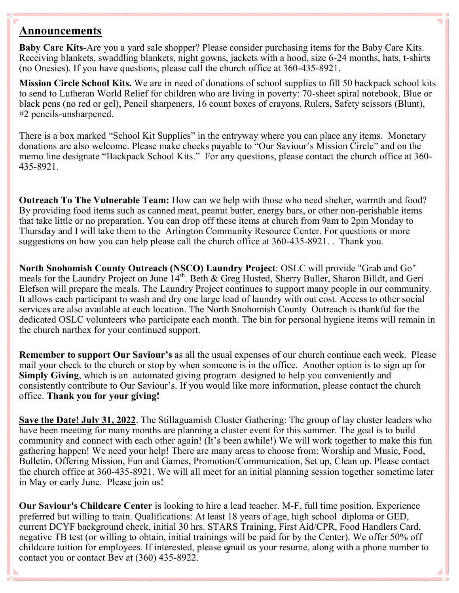## **Announcements**

**Baby Care Kits-**Are you a yard sale shopper? Please consider purchasing items for the Baby Care Kits. Receiving blankets, swaddling blankets, night gowns, jackets with a hood, size 6-24 months, hats, t-shirts (no Onesies). If you have questions, please call the church office at 360-435-8921.

**Mission Circle School Kits.** We are in need of donations of school supplies to fill 50 backpack school kits to send to Lutheran World Relief for children who are living in poverty: 70-sheet spiral notebook, Blue or black pens (no red or gel), Pencil sharpeners, 16 count boxes of crayons, Rulers, Safety scissors (Blunt), #2 pencils-unsharpened.

There is a box marked "School Kit Supplies" in the entryway where you can place any items. Monetary donations are also welcome. Please make checks payable to "Our Saviour's Mission Circle" and on the memo line designate "Backpack School Kits." For any questions, please contact the church office at 360- 435-8921.

**Outreach To The Vulnerable Team:** How can we help with those who need shelter, warmth and food? By providing food items such as canned meat, peanut butter, energy bars, or other non-perishable items that take little or no preparation. You can drop off these items at church from 9am to 2pm Monday to Thursday and I will take them to the Arlington Community Resource Center. For questions or more suggestions on how you can help please call the church office at 360-435-8921. . Thank you.

**North Snohomish County Outreach (NSCO) Laundry Project**: OSLC will provide "Grab and Go" meals for the Laundry Project on June 14<sup>th</sup>. Beth & Greg Husted, Sherry Buller, Sharon Billdt, and Geri Elefson will prepare the meals. The Laundry Project continues to support many people in our community. It allows each participant to wash and dry one large load of laundry with out cost. Access to other social services are also available at each location. The North Snohomish County Outreach is thankful for the dedicated OSLC volunteers who participate each month. The bin for personal hygiene items will remain in the church narthex for your continued support.

**Remember to support Our Saviour's** as all the usual expenses of our church continue each week. Please mail your check to the church or stop by when someone is in the office. Another option is to sign up for **Simply Giving**, which is an automated giving program designed to help you conveniently and consistently contribute to Our Saviour's. If you would like more information, please contact the church office. **Thank you for your giving!**

**Save the Date! July 31, 2022**. The Stillaguamish Cluster Gathering: The group of lay cluster leaders who have been meeting for many months are planning a cluster event for this summer. The goal is to build community and connect with each other again! (It's been awhile!) We will work together to make this fun gathering happen! We need your help! There are many areas to choose from: Worship and Music, Food, Bulletin, Offering Mission, Fun and Games, Promotion/Communication, Set up, Clean up. Please contact the church office at 360-435-8921. We will all meet for an initial planning session together sometime later in May or early June. Please join us!

2 childcare tuition for employees. If interested, please email us your resume, along with a phone number to **Our Saviour's Childcare Center** is looking to hire a lead teacher. M-F, full time position. Experience preferred but willing to train. Qualifications: At least 18 years of age, high school diploma or GED, current DCYF background check, initial 30 hrs. STARS Training, First Aid/CPR, Food Handlers Card, negative TB test (or willing to obtain, initial trainings will be paid for by the Center). We offer 50% off contact you or contact Bev at (360) 435-8922.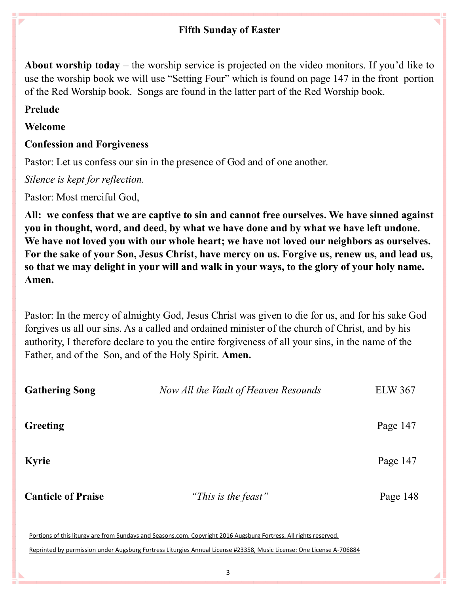## **Fifth Sunday of Easter**

**About worship today** – the worship service is projected on the video monitors. If you'd like to use the worship book we will use "Setting Four" which is found on page 147 in the front portion of the Red Worship book. Songs are found in the latter part of the Red Worship book.

## **Prelude**

D

## **Welcome**

## **Confession and Forgiveness**

Pastor: Let us confess our sin in the presence of God and of one another.

*Silence is kept for reflection.*

Pastor: Most merciful God,

**All: we confess that we are captive to sin and cannot free ourselves. We have sinned against you in thought, word, and deed, by what we have done and by what we have left undone. We have not loved you with our whole heart; we have not loved our neighbors as ourselves. For the sake of your Son, Jesus Christ, have mercy on us. Forgive us, renew us, and lead us, so that we may delight in your will and walk in your ways, to the glory of your holy name. Amen.**

Pastor: In the mercy of almighty God, Jesus Christ was given to die for us, and for his sake God forgives us all our sins. As a called and ordained minister of the church of Christ, and by his authority, I therefore declare to you the entire forgiveness of all your sins, in the name of the Father, and of the Son, and of the Holy Spirit. **Amen.**

| <b>Gathering Song</b>     | Now All the Vault of Heaven Resounds                                                                              | <b>ELW 367</b> |
|---------------------------|-------------------------------------------------------------------------------------------------------------------|----------------|
| Greeting                  |                                                                                                                   | Page 147       |
| <b>Kyrie</b>              |                                                                                                                   | Page 147       |
| <b>Canticle of Praise</b> | "This is the feast"                                                                                               | Page 148       |
|                           | Portions of this liturgy are from Sundays and Seasons.com. Copyright 2016 Augsburg Fortress. All rights reserved. |                |

Reprinted by permission under Augsburg Fortress Liturgies Annual License #23358, Music License: One License A-706884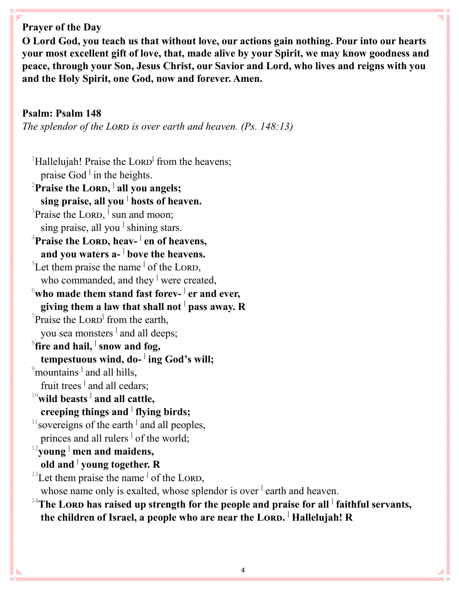**Prayer of the Day** 

**O Lord God, you teach us that without love, our actions gain nothing. Pour into our hearts your most excellent gift of love, that, made alive by your Spirit, we may know goodness and peace, through your Son, Jesus Christ, our Savior and Lord, who lives and reigns with you and the Holy Spirit, one God, now and forever. Amen.**

#### **Psalm: Psalm 148**

*The splendor of the LORD is over earth and heaven. (Ps. 148:13)* 

<sup>1</sup>Hallelujah! Praise the Loro<sup>|</sup> from the heavens; praise God **<sup>|</sup>** in the heights. <sup>2</sup> Praise the LORD, <sup>|</sup> all you angels; **sing praise, all you <sup>|</sup> hosts of heaven.** <sup>3</sup>Praise the Lorp, <sup>|</sup> sun and moon; sing praise, all you **<sup>|</sup>** shining stars. <sup>4</sup>**Praise the Lord, heav- | en of heavens, and you waters a- | bove the heavens.** <sup>5</sup>Let them praise the name  $\frac{1}{2}$  of the LORD, who commanded, and they <sup>|</sup> were created,  $^6$ who made them stand fast forev-  $^|$  er and ever, **giving them a law that shall not <sup>|</sup> pass away. R** <sup>7</sup>Praise the LORD<sup>|</sup> from the earth, you sea monsters **<sup>|</sup>** and all deeps;  $^8$ fire and hail,  $^|$  snow and fog, **tempestuous wind, do- | ing God's will;** <sup>9</sup> mountains <sup>|</sup> and all hills, fruit trees <sup>|</sup> and all cedars; <sup>10</sup>**wild beasts <sup>|</sup> and all cattle, creeping things and <sup>|</sup> flying birds;** <sup>11</sup> sovereigns of the earth <sup>|</sup> and all peoples, princes and all rulers **<sup>|</sup>** of the world; <sup>12</sup>**young <sup>|</sup> men and maidens, old and <sup>|</sup> young together. R**  $^{13}$ Let them praise the name  $\frac{1}{10}$  of the LORD, whose name only is exalted, whose splendor is over <sup>|</sup> earth and heaven.

<sup>14</sup>The Lorp has raised up strength for the people and praise for all <sup>|</sup> faithful servants, **the children of Israel, a people who are near the Lord. <sup>|</sup> Hallelujah! R**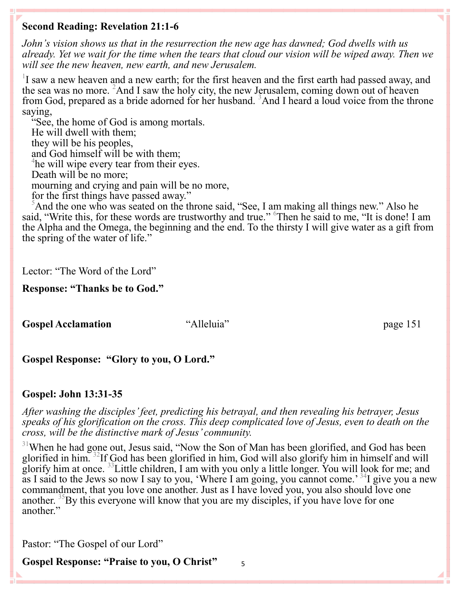## **Second Reading: Revelation 21:1-6**

*John's vision shows us that in the resurrection the new age has dawned; God dwells with us already. Yet we wait for the time when the tears that cloud our vision will be wiped away. Then we will see the new heaven, new earth, and new Jerusalem.*

 $1$ I saw a new heaven and a new earth; for the first heaven and the first earth had passed away, and the sea was no more. <sup>2</sup>And I saw the holy city, the new Jerusalem, coming down out of heaven from God, prepared as a bride adorned for her husband. <sup>3</sup>And I heard a loud voice from the throne saying,

"See, the home of God is among mortals. He will dwell with them; they will be his peoples, and God himself will be with them; <sup>4</sup>he will wipe every tear from their eyes. Death will be no more; mourning and crying and pain will be no more, for the first things have passed away."

<sup>5</sup>And the one who was seated on the throne said, "See, I am making all things new." Also he said, "Write this, for these words are trustworthy and true." <sup>6</sup>Then he said to me, "It is done! I am the Alpha and the Omega, the beginning and the end. To the thirsty I will give water as a gift from the spring of the water of life."

Lector: "The Word of the Lord"

#### **Response: "Thanks be to God."**

**Gospel Acclamation** "Alleluia" page 151

## **Gospel Response: "Glory to you, O Lord."**

## **Gospel: John 13:31-35**

*After washing the disciples' feet, predicting his betrayal, and then revealing his betrayer, Jesus speaks of his glorification on the cross. This deep complicated love of Jesus, even to death on the cross, will be the distinctive mark of Jesus' community.*

<sup>31</sup>When he had gone out, Jesus said, "Now the Son of Man has been glorified, and God has been glorified in him. <sup>32</sup>If God has been glorified in him, God will also glorify him in himself and will glorify him at once. <sup>33</sup>Little children, I am with you only a little longer. You will look for me; and as I said to the Jews so now I say to you, 'Where I am going, you cannot come.'<sup>34</sup>I give you a new commandment, that you love one another. Just as I have loved you, you also should love one another.  $\rm{^{33}By}$  this everyone will know that you are my disciples, if you have love for one another."

Pastor: "The Gospel of our Lord"

**Gospel Response: "Praise to you, O Christ"**

5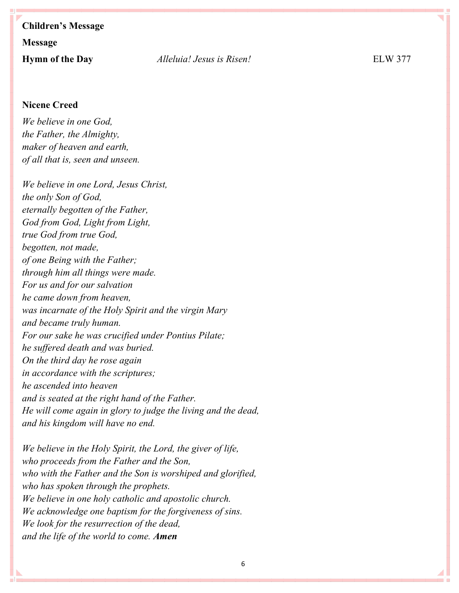# **Children's Message Message Hymn of the Day** *Alleluia! Jesus is Risen!* ELW 377

#### **Nicene Creed**

*We believe in one God, the Father, the Almighty, maker of heaven and earth, of all that is, seen and unseen.*

*We believe in one Lord, Jesus Christ, the only Son of God, eternally begotten of the Father, God from God, Light from Light, true God from true God, begotten, not made, of one Being with the Father; through him all things were made. For us and for our salvation he came down from heaven, was incarnate of the Holy Spirit and the virgin Mary and became truly human. For our sake he was crucified under Pontius Pilate; he suffered death and was buried. On the third day he rose again in accordance with the scriptures; he ascended into heaven and is seated at the right hand of the Father. He will come again in glory to judge the living and the dead, and his kingdom will have no end.*

*We believe in the Holy Spirit, the Lord, the giver of life, who proceeds from the Father and the Son, who with the Father and the Son is worshiped and glorified, who has spoken through the prophets. We believe in one holy catholic and apostolic church. We acknowledge one baptism for the forgiveness of sins. We look for the resurrection of the dead, and the life of the world to come. Amen*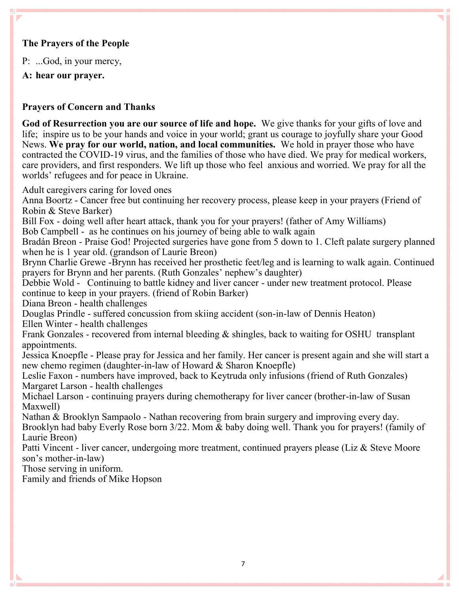#### **The Prayers of the People**

P: ...God, in your mercy,

**A: hear our prayer.**

### **Prayers of Concern and Thanks**

**God of Resurrection you are our source of life and hope.** We give thanks for your gifts of love and life; inspire us to be your hands and voice in your world; grant us courage to joyfully share your Good News. **We pray for our world, nation, and local communities.** We hold in prayer those who have contracted the COVID-19 virus, and the families of those who have died. We pray for medical workers, care providers, and first responders. We lift up those who feel anxious and worried. We pray for all the worlds' refugees and for peace in Ukraine.

Adult caregivers caring for loved ones

Anna Boortz - Cancer free but continuing her recovery process, please keep in your prayers (Friend of Robin & Steve Barker)

Bill Fox - doing well after heart attack, thank you for your prayers! (father of Amy Williams)

Bob Campbell - as he continues on his journey of being able to walk again

Bradán Breon - Praise God! Projected surgeries have gone from 5 down to 1. Cleft palate surgery planned when he is 1 year old. (grandson of Laurie Breon)

Brynn Charlie Grewe -Brynn has received her prosthetic feet/leg and is learning to walk again. Continued prayers for Brynn and her parents. (Ruth Gonzales' nephew's daughter)

Debbie Wold - Continuing to battle kidney and liver cancer - under new treatment protocol. Please continue to keep in your prayers. (friend of Robin Barker)

Diana Breon - health challenges

Douglas Prindle - suffered concussion from skiing accident (son-in-law of Dennis Heaton) Ellen Winter - health challenges

Frank Gonzales - recovered from internal bleeding & shingles, back to waiting for OSHU transplant appointments.

Jessica Knoepfle - Please pray for Jessica and her family. Her cancer is present again and she will start a new chemo regimen (daughter-in-law of Howard & Sharon Knoepfle)

Leslie Faxon - numbers have improved, back to Keytruda only infusions (friend of Ruth Gonzales) Margaret Larson - health challenges

Michael Larson - continuing prayers during chemotherapy for liver cancer (brother-in-law of Susan Maxwell)

Nathan & Brooklyn Sampaolo - Nathan recovering from brain surgery and improving every day. Brooklyn had baby Everly Rose born 3/22. Mom & baby doing well. Thank you for prayers! (family of Laurie Breon)

Patti Vincent - liver cancer, undergoing more treatment, continued prayers please (Liz & Steve Moore son's mother-in-law)

Those serving in uniform.

N

Family and friends of Mike Hopson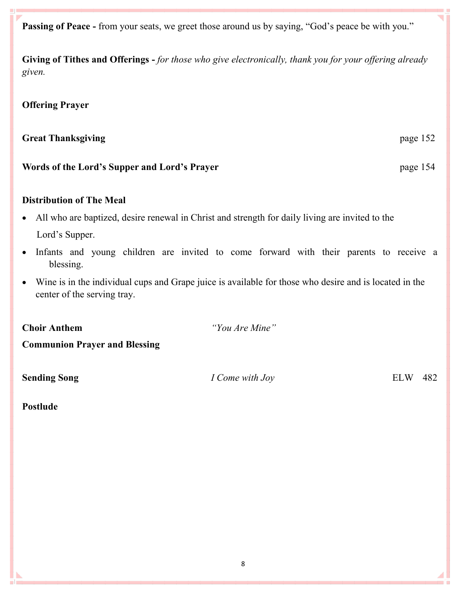**Passing of Peace -** from your seats, we greet those around us by saying, "God's peace be with you."

**Giving of Tithes and Offerings -** *for those who give electronically, thank you for your offering already given.*

#### **Offering Prayer**

#### **Great Thanksgiving**  page 152

#### **Words of the Lord's Supper and Lord's Prayer** page 154

#### **Distribution of The Meal**

- All who are baptized, desire renewal in Christ and strength for daily living are invited to the Lord's Supper.
- Infants and young children are invited to come forward with their parents to receive a blessing.
- Wine is in the individual cups and Grape juice is available for those who desire and is located in the center of the serving tray.

**Choir Anthem** *"You Are Mine"*

**Communion Prayer and Blessing**

**Sending Song** *I Come with Joy* **ELW** 482

**Postlude**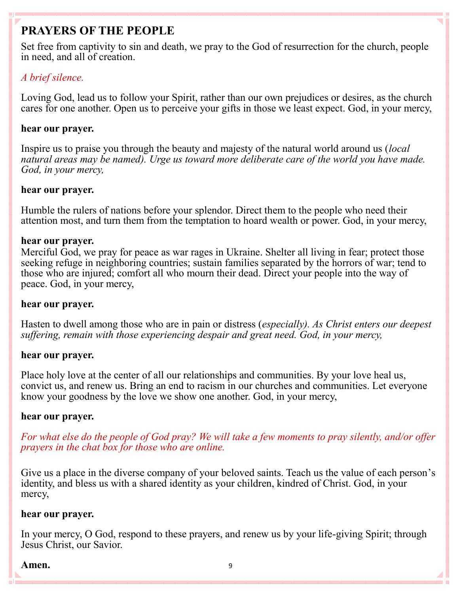# **PRAYERS OF THE PEOPLE**

Set free from captivity to sin and death, we pray to the God of resurrection for the church, people in need, and all of creation.

## *A brief silence.*

Loving God, lead us to follow your Spirit, rather than our own prejudices or desires, as the church cares for one another. Open us to perceive your gifts in those we least expect. God, in your mercy,

## **hear our prayer.**

Inspire us to praise you through the beauty and majesty of the natural world around us (*local natural areas may be named). Urge us toward more deliberate care of the world you have made. God, in your mercy,*

## **hear our prayer.**

Humble the rulers of nations before your splendor. Direct them to the people who need their attention most, and turn them from the temptation to hoard wealth or power. God, in your mercy,

## **hear our prayer.**

Merciful God, we pray for peace as war rages in Ukraine. Shelter all living in fear; protect those seeking refuge in neighboring countries; sustain families separated by the horrors of war; tend to those who are injured; comfort all who mourn their dead. Direct your people into the way of peace. God, in your mercy,

## **hear our prayer.**

Hasten to dwell among those who are in pain or distress (*especially). As Christ enters our deepest suffering, remain with those experiencing despair and great need. God, in your mercy,*

## **hear our prayer.**

Place holy love at the center of all our relationships and communities. By your love heal us, convict us, and renew us. Bring an end to racism in our churches and communities. Let everyone know your goodness by the love we show one another. God, in your mercy,

## **hear our prayer.**

*For what else do the people of God pray? We will take a few moments to pray silently, and/or offer prayers in the chat box for those who are online.*

Give us a place in the diverse company of your beloved saints. Teach us the value of each person's identity, and bless us with a shared identity as your children, kindred of Christ. God, in your mercy,

## **hear our prayer.**

In your mercy, O God, respond to these prayers, and renew us by your life-giving Spirit; through Jesus Christ, our Savior.

#### Amen. 9